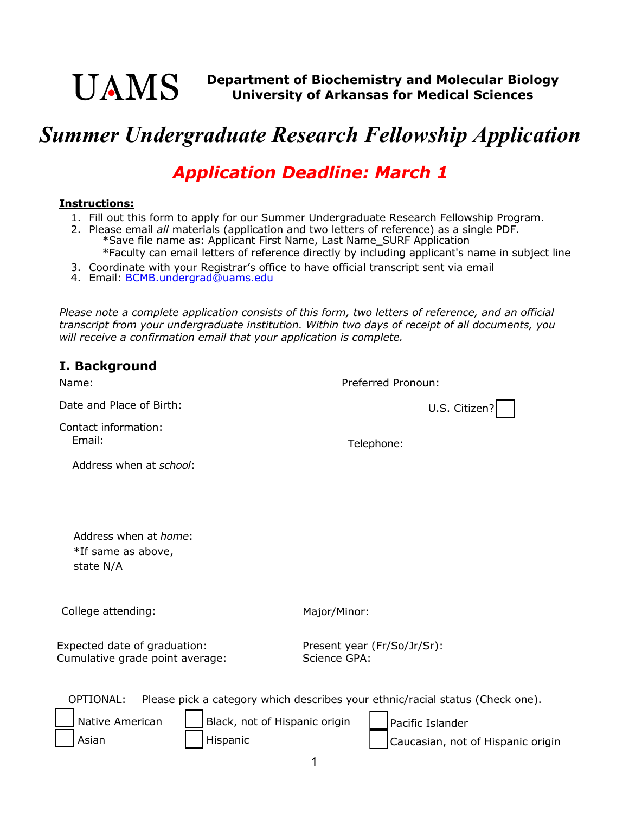

## *Summer Undergraduate Research Fellowship Application*

## *Application Deadline: March 1*

## **Instructions:**

- 1. Fill out this form to apply for our Summer Undergraduate Research Fellowship Program.
- 2. Please email *all* materials (application and two letters of reference) as a single PDF. \*Save file name as: Applicant First Name, Last Name\_SURF Application \*Faculty can email letters of reference directly by including applicant's name in subject line
- 3. Coordinate with your Registrar's office to have official transcript sent via email
- 4. Email: <u>BCMB.undergrad@uams.edu</u>

*Please note a complete application consists of this form, two letters of reference, and an official transcript from your undergraduate institution. Within two days of receipt of all documents, you will receive a confirmation email that your application is complete.* 

|  | I. Background |  |
|--|---------------|--|
|--|---------------|--|

| Name:                                                            |                               | Preferred Pronoun:                          |                                                                               |  |
|------------------------------------------------------------------|-------------------------------|---------------------------------------------|-------------------------------------------------------------------------------|--|
| Date and Place of Birth:                                         |                               |                                             | U.S. Citizen?                                                                 |  |
| Contact information:<br>Email:                                   |                               | Telephone:                                  |                                                                               |  |
| Address when at school:                                          |                               |                                             |                                                                               |  |
|                                                                  |                               |                                             |                                                                               |  |
| Address when at <i>home</i> :<br>*If same as above,<br>state N/A |                               |                                             |                                                                               |  |
| College attending:                                               |                               | Major/Minor:                                |                                                                               |  |
| Expected date of graduation:<br>Cumulative grade point average:  |                               | Present year (Fr/So/Jr/Sr):<br>Science GPA: |                                                                               |  |
| OPTIONAL:                                                        |                               |                                             | Please pick a category which describes your ethnic/racial status (Check one). |  |
| Native American                                                  | Black, not of Hispanic origin |                                             | Pacific Islander                                                              |  |
| Asian                                                            | Hispanic                      |                                             | Caucasian, not of Hispanic origin                                             |  |